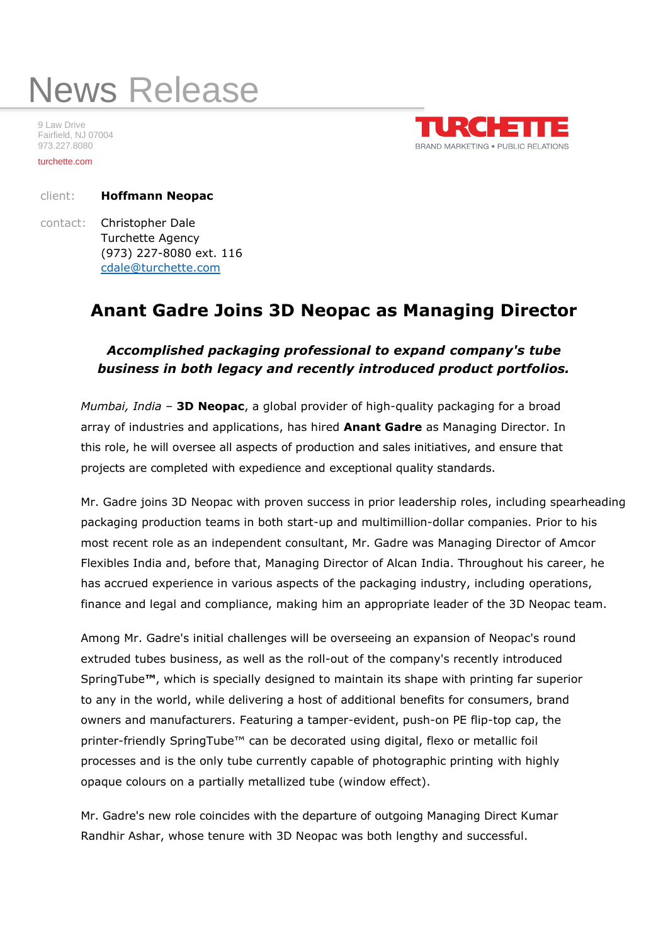## News Release

9 Law Drive Fairfield, NJ 07004 973.227.8080

turchette.com



client: **Hoffmann Neopac**

contact: Christopher Dale Turchette Agency (973) 227-8080 ext. 116 [cdale@turchette.com](about:blank)

## **Anant Gadre Joins 3D Neopac as Managing Director**

## *Accomplished packaging professional to expand company's tube business in both legacy and recently introduced product portfolios.*

*Mumbai, India* – **3D Neopac**, a global provider of high-quality packaging for a broad array of industries and applications, has hired **Anant Gadre** as Managing Director. In this role, he will oversee all aspects of production and sales initiatives, and ensure that projects are completed with expedience and exceptional quality standards.

Mr. Gadre joins 3D Neopac with proven success in prior leadership roles, including spearheading packaging production teams in both start-up and multimillion-dollar companies. Prior to his most recent role as an independent consultant, Mr. Gadre was Managing Director of Amcor Flexibles India and, before that, Managing Director of Alcan India. Throughout his career, he has accrued experience in various aspects of the packaging industry, including operations, finance and legal and compliance, making him an appropriate leader of the 3D Neopac team.

Among Mr. Gadre's initial challenges will be overseeing an expansion of Neopac's round extruded tubes business, as well as the roll-out of the company's recently introduced SpringTube**™**, which is specially designed to maintain its shape with printing far superior to any in the world, while delivering a host of additional benefits for consumers, brand owners and manufacturers. Featuring a tamper-evident, push-on PE flip-top cap, the printer-friendly SpringTube™ can be decorated using digital, flexo or metallic foil processes and is the only tube currently capable of photographic printing with highly opaque colours on a partially metallized tube (window effect).

Mr. Gadre's new role coincides with the departure of outgoing Managing Direct Kumar Randhir Ashar, whose tenure with 3D Neopac was both lengthy and successful.